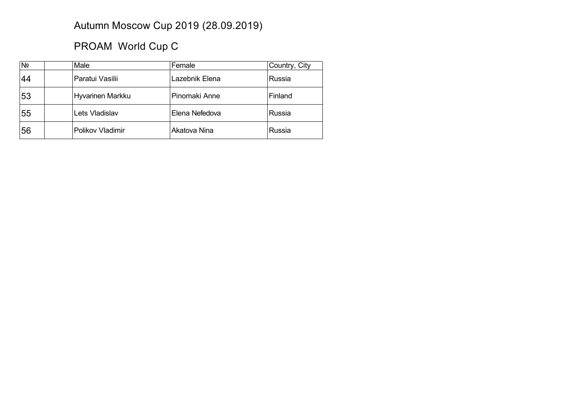## Autumn Moscow Cup 2019 (28.09.2019)

## PROAM World Cup C

| N <sub>2</sub> | Male             | Female         | Country, City |
|----------------|------------------|----------------|---------------|
| 44             | Paratui Vasilii  | Lazebnik Elena | Russia        |
| 53             | Hyvarinen Markku | Pinomaki Anne  | Finland       |
| 55             | Lets Vladislav   | Elena Nefedova | Russia        |
| 56             | Polikov Vladimir | Akatova Nina   | Russia        |